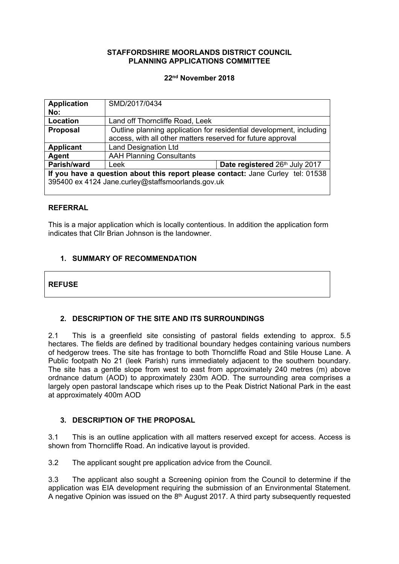## **STAFFORDSHIRE MOORLANDS DISTRICT COUNCIL PLANNING APPLICATIONS COMMITTEE**

### **22nd November 2018**

| <b>Application</b>                                                              | SMD/2017/0434                                                       |  |
|---------------------------------------------------------------------------------|---------------------------------------------------------------------|--|
| No:                                                                             |                                                                     |  |
| <b>Location</b>                                                                 | Land off Thorncliffe Road, Leek                                     |  |
| <b>Proposal</b>                                                                 | Outline planning application for residential development, including |  |
|                                                                                 | access, with all other matters reserved for future approval         |  |
| <b>Applicant</b>                                                                | <b>Land Designation Ltd</b>                                         |  |
| <b>Agent</b>                                                                    | <b>AAH Planning Consultants</b>                                     |  |
| Parish/ward                                                                     | Date registered 26th July 2017<br>Leek                              |  |
| If you have a question about this report please contact: Jane Curley tel: 01538 |                                                                     |  |
|                                                                                 | 395400 ex 4124 Jane.curley@staffsmoorlands.gov.uk                   |  |
|                                                                                 |                                                                     |  |

### **REFERRAL**

This is a major application which is locally contentious. In addition the application form indicates that Cllr Brian Johnson is the landowner.

# **1. SUMMARY OF RECOMMENDATION**

**REFUSE**

# **2. DESCRIPTION OF THE SITE AND ITS SURROUNDINGS**

2.1 This is a greenfield site consisting of pastoral fields extending to approx. 5.5 hectares. The fields are defined by traditional boundary hedges containing various numbers of hedgerow trees. The site has frontage to both Thorncliffe Road and Stile House Lane. A Public footpath No 21 (leek Parish) runs immediately adjacent to the southern boundary. The site has a gentle slope from west to east from approximately 240 metres (m) above ordnance datum (AOD) to approximately 230m AOD. The surrounding area comprises a largely open pastoral landscape which rises up to the Peak District National Park in the east at approximately 400m AOD

## **3. DESCRIPTION OF THE PROPOSAL**

3.1 This is an outline application with all matters reserved except for access. Access is shown from Thorncliffe Road. An indicative layout is provided.

3.2 The applicant sought pre application advice from the Council.

3.3 The applicant also sought a Screening opinion from the Council to determine if the application was EIA development requiring the submission of an Environmental Statement. A negative Opinion was issued on the  $8<sup>th</sup>$  August 2017. A third party subsequently requested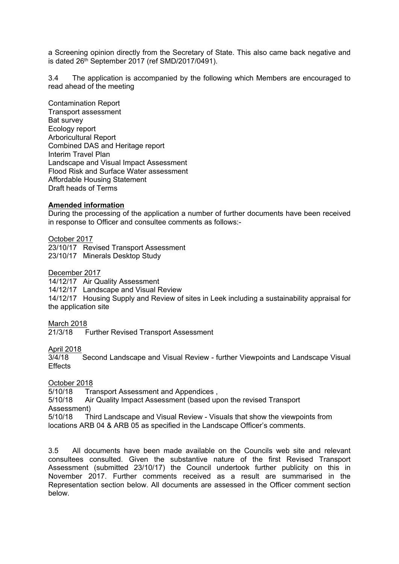a Screening opinion directly from the Secretary of State. This also came back negative and is dated 26th September 2017 (ref SMD/2017/0491).

3.4 The application is accompanied by the following which Members are encouraged to read ahead of the meeting

Contamination Report Transport assessment Bat survey Ecology report Arboricultural Report Combined DAS and Heritage report Interim Travel Plan Landscape and Visual Impact Assessment Flood Risk and Surface Water assessment Affordable Housing Statement Draft heads of Terms

### **Amended information**

During the processing of the application a number of further documents have been received in response to Officer and consultee comments as follows:-

October 2017

23/10/17 Revised Transport Assessment 23/10/17 Minerals Desktop Study

December 2017

14/12/17 Air Quality Assessment

14/12/17 Landscape and Visual Review

14/12/17 Housing Supply and Review of sites in Leek including a sustainability appraisal for the application site

March 2018

21/3/18 Further Revised Transport Assessment

April 2018<br>3/4/18

Second Landscape and Visual Review - further Viewpoints and Landscape Visual **Effects** 

#### October 2018

5/10/18 Transport Assessment and Appendices ,

5/10/18 Air Quality Impact Assessment (based upon the revised Transport Assessment)

5/10/18 Third Landscape and Visual Review - Visuals that show the viewpoints from locations ARB 04 & ARB 05 as specified in the Landscape Officer's comments.

3.5 All documents have been made available on the Councils web site and relevant consultees consulted. Given the substantive nature of the first Revised Transport Assessment (submitted 23/10/17) the Council undertook further publicity on this in November 2017. Further comments received as a result are summarised in the Representation section below. All documents are assessed in the Officer comment section below.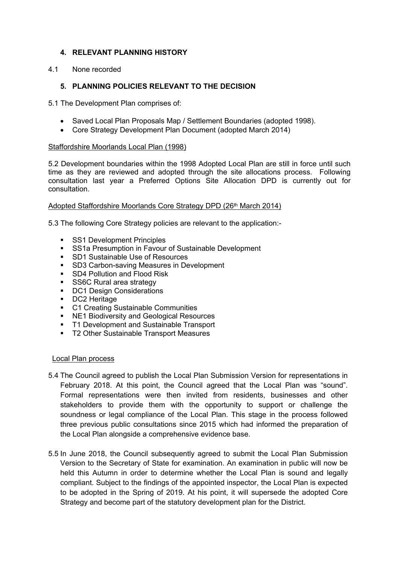## **4. RELEVANT PLANNING HISTORY**

4.1 None recorded

## **5. PLANNING POLICIES RELEVANT TO THE DECISION**

5.1 The Development Plan comprises of:

- Saved Local Plan Proposals Map / Settlement Boundaries (adopted 1998).
- Core Strategy Development Plan Document (adopted March 2014)

## Staffordshire Moorlands Local Plan (1998)

5.2 Development boundaries within the 1998 Adopted Local Plan are still in force until such time as they are reviewed and adopted through the site allocations process. Following consultation last year a Preferred Options Site Allocation DPD is currently out for consultation.

## Adopted Staffordshire Moorlands Core Strategy DPD (26<sup>th</sup> March 2014)

5.3 The following Core Strategy policies are relevant to the application:-

- **SS1 Development Principles**
- **SS1a Presumption in Favour of Sustainable Development**
- **SD1 Sustainable Use of Resources**
- **SD3 Carbon-saving Measures in Development**
- SD4 Pollution and Flood Risk<br>• SS6C Rural area strategy
- SS6C Rural area strategy
- **DC1 Design Considerations**
- **DC2** Heritage
- **C1 Creating Sustainable Communities**
- **NE1 Biodiversity and Geological Resources**
- **T1 Development and Sustainable Transport**
- **T2 Other Sustainable Transport Measures**

### Local Plan process

- 5.4 The Council agreed to publish the Local Plan Submission Version for representations in February 2018. At this point, the Council agreed that the Local Plan was "sound". Formal representations were then invited from residents, businesses and other stakeholders to provide them with the opportunity to support or challenge the soundness or legal compliance of the Local Plan. This stage in the process followed three previous public consultations since 2015 which had informed the preparation of the Local Plan alongside a comprehensive evidence base.
- 5.5 In June 2018, the Council subsequently agreed to submit the Local Plan Submission Version to the Secretary of State for examination. An examination in public will now be held this Autumn in order to determine whether the Local Plan is sound and legally compliant. Subject to the findings of the appointed inspector, the Local Plan is expected to be adopted in the Spring of 2019. At his point, it will supersede the adopted Core Strategy and become part of the statutory development plan for the District.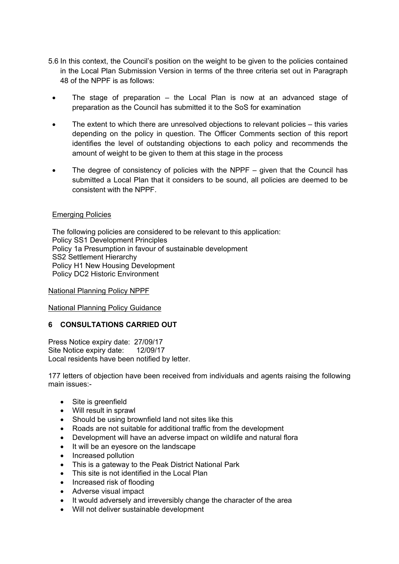- 5.6 In this context, the Council's position on the weight to be given to the policies contained in the Local Plan Submission Version in terms of the three criteria set out in Paragraph 48 of the NPPF is as follows:
- The stage of preparation the Local Plan is now at an advanced stage of preparation as the Council has submitted it to the SoS for examination
- The extent to which there are unresolved objections to relevant policies this varies depending on the policy in question. The Officer Comments section of this report identifies the level of outstanding objections to each policy and recommends the amount of weight to be given to them at this stage in the process
- The degree of consistency of policies with the NPPF given that the Council has submitted a Local Plan that it considers to be sound, all policies are deemed to be consistent with the NPPF.

## Emerging Policies

The following policies are considered to be relevant to this application: Policy SS1 Development Principles Policy 1a Presumption in favour of sustainable development SS2 Settlement Hierarchy Policy H1 New Housing Development Policy DC2 Historic Environment

National Planning Policy NPPF

National Planning Policy Guidance

# **6 CONSULTATIONS CARRIED OUT**

Press Notice expiry date: 27/09/17 Site Notice expiry date: 12/09/17 Local residents have been notified by letter.

177 letters of objection have been received from individuals and agents raising the following main issues:-

- Site is greenfield
- Will result in sprawl
- Should be using brownfield land not sites like this
- Roads are not suitable for additional traffic from the development
- Development will have an adverse impact on wildlife and natural flora
- It will be an eyesore on the landscape
- Increased pollution
- This is a gateway to the Peak District National Park
- This site is not identified in the Local Plan
- Increased risk of flooding
- Adverse visual impact
- It would adversely and irreversibly change the character of the area
- Will not deliver sustainable development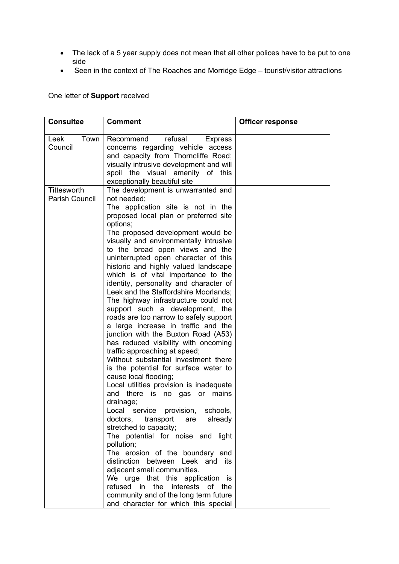- The lack of a 5 year supply does not mean that all other polices have to be put to one side
- Seen in the context of The Roaches and Morridge Edge tourist/visitor attractions

One letter of **Support** received

| <b>Consultee</b>                     | <b>Comment</b>                                                                                                                                                                                                                                                                                                                                                                                                                                                                                                                                                                                                                                                                                                                                                                                                                                                                                                                                                                                                                                                                                                                                                                                                                                                                                                                                                                              | <b>Officer response</b> |
|--------------------------------------|---------------------------------------------------------------------------------------------------------------------------------------------------------------------------------------------------------------------------------------------------------------------------------------------------------------------------------------------------------------------------------------------------------------------------------------------------------------------------------------------------------------------------------------------------------------------------------------------------------------------------------------------------------------------------------------------------------------------------------------------------------------------------------------------------------------------------------------------------------------------------------------------------------------------------------------------------------------------------------------------------------------------------------------------------------------------------------------------------------------------------------------------------------------------------------------------------------------------------------------------------------------------------------------------------------------------------------------------------------------------------------------------|-------------------------|
| Town<br>Leek<br>Council              | refusal.<br>Recommend<br><b>Express</b><br>concerns regarding vehicle access<br>and capacity from Thorncliffe Road;<br>visually intrusive development and will<br>spoil the visual amenity of this<br>exceptionally beautiful site                                                                                                                                                                                                                                                                                                                                                                                                                                                                                                                                                                                                                                                                                                                                                                                                                                                                                                                                                                                                                                                                                                                                                          |                         |
| Tittesworth<br><b>Parish Council</b> | The development is unwarranted and<br>not needed:<br>The application site is not in the<br>proposed local plan or preferred site<br>options;<br>The proposed development would be<br>visually and environmentally intrusive<br>to the broad open views and the<br>uninterrupted open character of this<br>historic and highly valued landscape<br>which is of vital importance to the<br>identity, personality and character of<br>Leek and the Staffordshire Moorlands;<br>The highway infrastructure could not<br>support such a development, the<br>roads are too narrow to safely support<br>a large increase in traffic and the<br>junction with the Buxton Road (A53)<br>has reduced visibility with oncoming<br>traffic approaching at speed;<br>Without substantial investment there<br>is the potential for surface water to<br>cause local flooding;<br>Local utilities provision is inadequate<br>is no gas or mains<br>and there<br>drainage;<br>provision, schools,<br>Local service<br>doctors, transport<br>already<br>are<br>stretched to capacity;<br>The potential for noise and light<br>pollution;<br>The erosion of the boundary and<br>distinction between Leek and its<br>adjacent small communities.<br>We urge that this application<br>is.<br>refused in the interests<br>of the<br>community and of the long term future<br>and character for which this special |                         |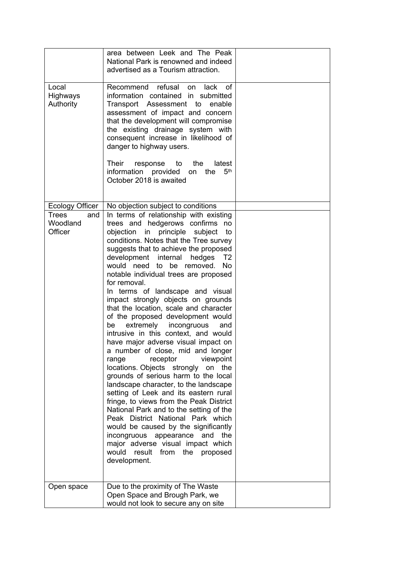|                                            | area between Leek and The Peak<br>National Park is renowned and indeed<br>advertised as a Tourism attraction.                                                                                                                                                                                                                                                                                                                                                                                                                                                                                                                                                                                                                                                                                                                                                                                                                                                                                                                                                                                                                                                                                           |  |
|--------------------------------------------|---------------------------------------------------------------------------------------------------------------------------------------------------------------------------------------------------------------------------------------------------------------------------------------------------------------------------------------------------------------------------------------------------------------------------------------------------------------------------------------------------------------------------------------------------------------------------------------------------------------------------------------------------------------------------------------------------------------------------------------------------------------------------------------------------------------------------------------------------------------------------------------------------------------------------------------------------------------------------------------------------------------------------------------------------------------------------------------------------------------------------------------------------------------------------------------------------------|--|
| Local<br>Highways<br>Authority             | Recommend refusal<br>lack<br>0f<br>on<br>information contained in submitted<br>Transport Assessment to<br>enable<br>assessment of impact and concern<br>that the development will compromise<br>the existing drainage system with<br>consequent increase in likelihood of<br>danger to highway users.<br>latest<br>Their<br>response to the<br>5 <sup>th</sup><br>information provided<br>the<br>on<br>October 2018 is awaited                                                                                                                                                                                                                                                                                                                                                                                                                                                                                                                                                                                                                                                                                                                                                                          |  |
| Ecology Officer                            | No objection subject to conditions                                                                                                                                                                                                                                                                                                                                                                                                                                                                                                                                                                                                                                                                                                                                                                                                                                                                                                                                                                                                                                                                                                                                                                      |  |
| <b>Trees</b><br>and<br>Woodland<br>Officer | In terms of relationship with existing<br>trees and hedgerows confirms<br>no<br>principle<br>objection in<br>subject<br>to<br>conditions. Notes that the Tree survey<br>suggests that to achieve the proposed<br>development internal<br>hedges<br>T <sub>2</sub><br>would need to be removed.<br><b>No</b><br>notable individual trees are proposed<br>for removal.<br>In terms of landscape and visual<br>impact strongly objects on grounds<br>that the location, scale and character<br>of the proposed development would<br>extremely<br>incongruous<br>be<br>and<br>intrusive in this context, and would<br>have major adverse visual impact on<br>a number of close, mid and longer<br>viewpoint<br>receptor<br>range<br>locations. Objects strongly<br>on the<br>grounds of serious harm to the local<br>landscape character, to the landscape<br>setting of Leek and its eastern rural<br>fringe, to views from the Peak District<br>National Park and to the setting of the<br>Peak District National Park which<br>would be caused by the significantly<br>incongruous appearance and the<br>major adverse visual impact which<br>would<br>result<br>from<br>the<br>proposed<br>development. |  |
|                                            |                                                                                                                                                                                                                                                                                                                                                                                                                                                                                                                                                                                                                                                                                                                                                                                                                                                                                                                                                                                                                                                                                                                                                                                                         |  |
| Open space                                 | Due to the proximity of The Waste<br>Open Space and Brough Park, we<br>would not look to secure any on site                                                                                                                                                                                                                                                                                                                                                                                                                                                                                                                                                                                                                                                                                                                                                                                                                                                                                                                                                                                                                                                                                             |  |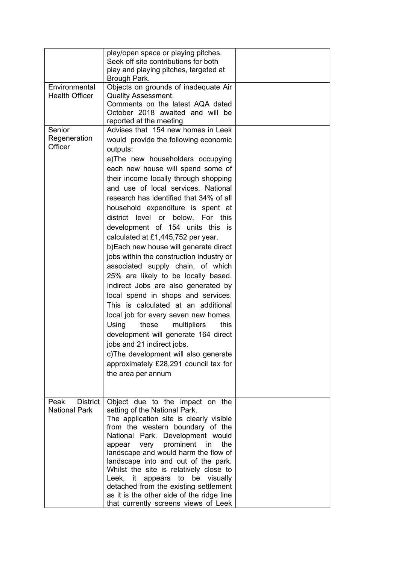|                                                 | play/open space or playing pitches.<br>Seek off site contributions for both<br>play and playing pitches, targeted at<br>Brough Park.                                                                                                                                                                                                                                                                                                                                                                                                                                                                                                                                                                                                                                                                                                                                                                                                                                                                         |  |
|-------------------------------------------------|--------------------------------------------------------------------------------------------------------------------------------------------------------------------------------------------------------------------------------------------------------------------------------------------------------------------------------------------------------------------------------------------------------------------------------------------------------------------------------------------------------------------------------------------------------------------------------------------------------------------------------------------------------------------------------------------------------------------------------------------------------------------------------------------------------------------------------------------------------------------------------------------------------------------------------------------------------------------------------------------------------------|--|
| Environmental<br><b>Health Officer</b>          | Objects on grounds of inadequate Air<br>Quality Assessment.<br>Comments on the latest AQA dated<br>October 2018 awaited and will be<br>reported at the meeting                                                                                                                                                                                                                                                                                                                                                                                                                                                                                                                                                                                                                                                                                                                                                                                                                                               |  |
| Senior<br>Regeneration<br>Officer               | Advises that 154 new homes in Leek<br>would provide the following economic<br>outputs:<br>a)The new householders occupying<br>each new house will spend some of<br>their income locally through shopping<br>and use of local services. National<br>research has identified that 34% of all<br>household expenditure is spent at<br>district level<br>below.<br>or<br>For this<br>development of 154 units this is<br>calculated at £1,445,752 per year.<br>b) Each new house will generate direct<br>jobs within the construction industry or<br>associated supply chain, of which<br>25% are likely to be locally based.<br>Indirect Jobs are also generated by<br>local spend in shops and services.<br>This is calculated at an additional<br>local job for every seven new homes.<br>Using<br>these<br>multipliers<br>this<br>development will generate 164 direct<br>jobs and 21 indirect jobs.<br>c) The development will also generate<br>approximately £28,291 council tax for<br>the area per annum |  |
| Peak<br><b>District</b><br><b>National Park</b> | Object due to the impact on the<br>setting of the National Park.<br>The application site is clearly visible<br>from the western boundary of the<br>National Park. Development would<br>very prominent<br>in<br>the<br>appear<br>landscape and would harm the flow of<br>landscape into and out of the park.<br>Whilst the site is relatively close to<br>Leek,<br>it<br>appears to be<br>visually<br>detached from the existing settlement<br>as it is the other side of the ridge line<br>that currently screens views of Leek                                                                                                                                                                                                                                                                                                                                                                                                                                                                              |  |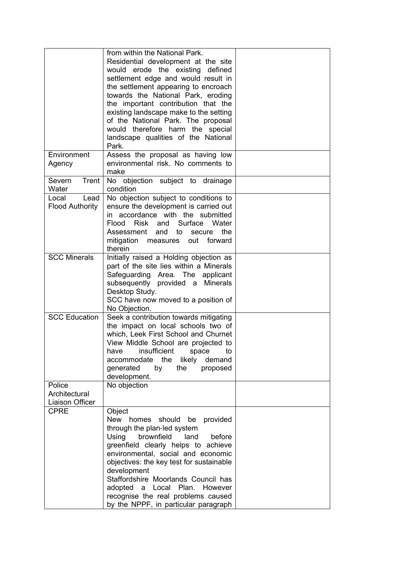|                                            | from within the National Park.<br>Residential development at the site<br>would erode the existing defined<br>settlement edge and would result in<br>the settlement appearing to encroach<br>towards the National Park, eroding<br>the important contribution that the<br>existing landscape make to the setting<br>of the National Park. The proposal<br>would therefore harm the special<br>landscape qualities of the National<br>Park. |  |
|--------------------------------------------|-------------------------------------------------------------------------------------------------------------------------------------------------------------------------------------------------------------------------------------------------------------------------------------------------------------------------------------------------------------------------------------------------------------------------------------------|--|
| Environment<br>Agency                      | Assess the proposal as having low<br>environmental risk. No comments to<br>make                                                                                                                                                                                                                                                                                                                                                           |  |
| Trent<br>Severn<br>Water                   | No objection subject to drainage<br>condition                                                                                                                                                                                                                                                                                                                                                                                             |  |
| Lead<br>Local<br>Flood Authority           | No objection subject to conditions to<br>ensure the development is carried out<br>in accordance with the submitted<br>Risk and Surface<br>Flood<br>Water<br>Assessment and<br>the<br>to<br>secure<br>mitigation measures out forward<br>therein                                                                                                                                                                                           |  |
| <b>SCC Minerals</b>                        | Initially raised a Holding objection as<br>part of the site lies within a Minerals<br>Safeguarding Area. The applicant<br>subsequently provided a Minerals<br>Desktop Study.<br>SCC have now moved to a position of<br>No Objection.                                                                                                                                                                                                      |  |
| <b>SCC Education</b>                       | Seek a contribution towards mitigating<br>the impact on local schools two of<br>which, Leek First School and Churnet<br>View Middle School are projected to<br>insufficient<br>have<br>space<br>to<br>accommodate the<br>likely demand<br>generated<br>by<br>the<br>proposed<br>development.                                                                                                                                              |  |
| Police<br>Architectural<br>Liaison Officer | No objection                                                                                                                                                                                                                                                                                                                                                                                                                              |  |
| <b>CPRE</b>                                | Object<br>New homes should<br>provided<br>be<br>through the plan-led system<br>Using<br>brownfield<br>land<br>before<br>greenfield clearly helps to achieve<br>environmental, social and economic<br>objectives: the key test for sustainable<br>development<br>Staffordshire Moorlands Council has<br>adopted a Local Plan. However<br>recognise the real problems caused<br>by the NPPF, in particular paragraph                        |  |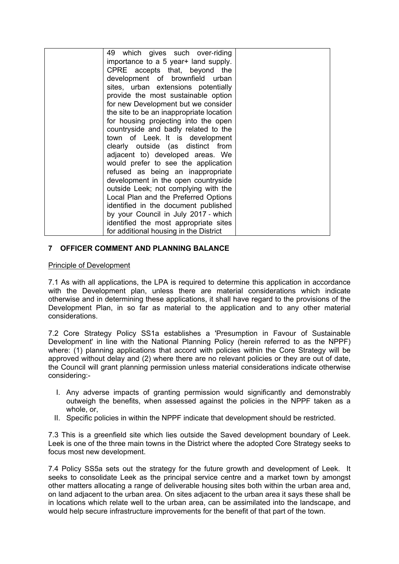| 49 which gives such over-riding          |  |
|------------------------------------------|--|
| importance to a 5 year + land supply.    |  |
| CPRE accepts that, beyond the            |  |
| development of brownfield urban          |  |
| sites, urban extensions potentially      |  |
| provide the most sustainable option      |  |
| for new Development but we consider      |  |
| the site to be an inappropriate location |  |
| for housing projecting into the open     |  |
| countryside and badly related to the     |  |
| town of Leek. It is development          |  |
| clearly outside (as distinct from        |  |
| adjacent to) developed areas. We         |  |
| would prefer to see the application      |  |
| refused as being an inappropriate        |  |
| development in the open countryside      |  |
| outside Leek; not complying with the     |  |
| Local Plan and the Preferred Options     |  |
| identified in the document published     |  |
| by your Council in July 2017 - which     |  |
| identified the most appropriate sites    |  |
| for additional housing in the District   |  |

# **7 OFFICER COMMENT AND PLANNING BALANCE**

### Principle of Development

7.1 As with all applications, the LPA is required to determine this application in accordance with the Development plan, unless there are material considerations which indicate otherwise and in determining these applications, it shall have regard to the provisions of the Development Plan, in so far as material to the application and to any other material considerations.

7.2 Core Strategy Policy SS1a establishes a 'Presumption in Favour of Sustainable Development' in line with the National Planning Policy (herein referred to as the NPPF) where: (1) planning applications that accord with policies within the Core Strategy will be approved without delay and (2) where there are no relevant policies or they are out of date, the Council will grant planning permission unless material considerations indicate otherwise considering:-

- I. Any adverse impacts of granting permission would significantly and demonstrably outweigh the benefits, when assessed against the policies in the NPPF taken as a whole, or,
- II. Specific policies in within the NPPF indicate that development should be restricted.

7.3 This is a greenfield site which lies outside the Saved development boundary of Leek. Leek is one of the three main towns in the District where the adopted Core Strategy seeks to focus most new development.

7.4 Policy SS5a sets out the strategy for the future growth and development of Leek. It seeks to consolidate Leek as the principal service centre and a market town by amongst other matters allocating a range of deliverable housing sites both within the urban area and, on land adjacent to the urban area. On sites adjacent to the urban area it says these shall be in locations which relate well to the urban area, can be assimilated into the landscape, and would help secure infrastructure improvements for the benefit of that part of the town.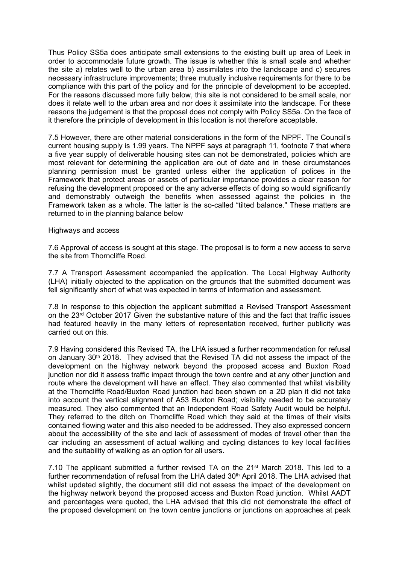Thus Policy SS5a does anticipate small extensions to the existing built up area of Leek in order to accommodate future growth. The issue is whether this is small scale and whether the site a) relates well to the urban area b) assimilates into the landscape and c) secures necessary infrastructure improvements; three mutually inclusive requirements for there to be compliance with this part of the policy and for the principle of development to be accepted. For the reasons discussed more fully below, this site is not considered to be small scale, nor does it relate well to the urban area and nor does it assimilate into the landscape. For these reasons the judgement is that the proposal does not comply with Policy SS5a. On the face of it therefore the principle of development in this location is not therefore acceptable.

7.5 However, there are other material considerations in the form of the NPPF. The Council's current housing supply is 1.99 years. The NPPF says at paragraph 11, footnote 7 that where a five year supply of deliverable housing sites can not be demonstrated, policies which are most relevant for determining the application are out of date and in these circumstances planning permission must be granted unless either the application of polices in the Framework that protect areas or assets of particular importance provides a clear reason for refusing the development proposed or the any adverse effects of doing so would significantly and demonstrably outweigh the benefits when assessed against the policies in the Framework taken as a whole. The latter is the so-called "tilted balance." These matters are returned to in the planning balance below

### Highways and access

7.6 Approval of access is sought at this stage. The proposal is to form a new access to serve the site from Thorncliffe Road.

7.7 A Transport Assessment accompanied the application. The Local Highway Authority (LHA) initially objected to the application on the grounds that the submitted document was fell significantly short of what was expected in terms of information and assessment.

7.8 In response to this objection the applicant submitted a Revised Transport Assessment on the 23rd October 2017 Given the substantive nature of this and the fact that traffic issues had featured heavily in the many letters of representation received, further publicity was carried out on this.

7.9 Having considered this Revised TA, the LHA issued a further recommendation for refusal on January 30th 2018. They advised that the Revised TA did not assess the impact of the development on the highway network beyond the proposed access and Buxton Road junction nor did it assess traffic impact through the town centre and at any other junction and route where the development will have an effect. They also commented that whilst visibility at the Thorncliffe Road/Buxton Road junction had been shown on a 2D plan it did not take into account the vertical alignment of A53 Buxton Road; visibility needed to be accurately measured. They also commented that an Independent Road Safety Audit would be helpful. They referred to the ditch on Thorncliffe Road which they said at the times of their visits contained flowing water and this also needed to be addressed. They also expressed concern about the accessibility of the site and lack of assessment of modes of travel other than the car including an assessment of actual walking and cycling distances to key local facilities and the suitability of walking as an option for all users.

7.10 The applicant submitted a further revised TA on the  $21<sup>st</sup>$  March 2018. This led to a further recommendation of refusal from the LHA dated 30<sup>th</sup> April 2018. The LHA advised that whilst updated slightly, the document still did not assess the impact of the development on the highway network beyond the proposed access and Buxton Road junction. Whilst AADT and percentages were quoted, the LHA advised that this did not demonstrate the effect of the proposed development on the town centre junctions or junctions on approaches at peak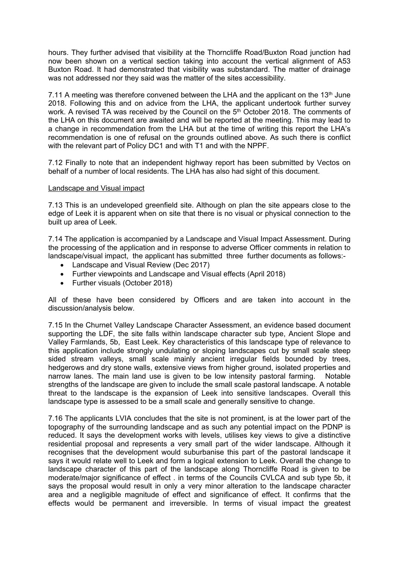hours. They further advised that visibility at the Thorncliffe Road/Buxton Road junction had now been shown on a vertical section taking into account the vertical alignment of A53 Buxton Road. It had demonstrated that visibility was substandard. The matter of drainage was not addressed nor they said was the matter of the sites accessibility.

7.11 A meeting was therefore convened between the LHA and the applicant on the 13<sup>th</sup> June 2018. Following this and on advice from the LHA, the applicant undertook further survey work. A revised TA was received by the Council on the 5<sup>th</sup> October 2018. The comments of the LHA on this document are awaited and will be reported at the meeting. This may lead to a change in recommendation from the LHA but at the time of writing this report the LHA's recommendation is one of refusal on the grounds outlined above. As such there is conflict with the relevant part of Policy DC1 and with T1 and with the NPPF.

7.12 Finally to note that an independent highway report has been submitted by Vectos on behalf of a number of local residents. The LHA has also had sight of this document.

### Landscape and Visual impact

7.13 This is an undeveloped greenfield site. Although on plan the site appears close to the edge of Leek it is apparent when on site that there is no visual or physical connection to the built up area of Leek.

7.14 The application is accompanied by a Landscape and Visual Impact Assessment. During the processing of the application and in response to adverse Officer comments in relation to landscape/visual impact, the applicant has submitted three further documents as follows:-

- Landscape and Visual Review (Dec 2017)
- Further viewpoints and Landscape and Visual effects (April 2018)
- Further visuals (October 2018)

All of these have been considered by Officers and are taken into account in the discussion/analysis below.

7.15 In the Churnet Valley Landscape Character Assessment, an evidence based document supporting the LDF, the site falls within landscape character sub type, Ancient Slope and Valley Farmlands, 5b, East Leek. Key characteristics of this landscape type of relevance to this application include strongly undulating or sloping landscapes cut by small scale steep sided stream valleys, small scale mainly ancient irregular fields bounded by trees, hedgerows and dry stone walls, extensive views from higher ground, isolated properties and narrow lanes. The main land use is given to be low intensity pastoral farming. Notable strengths of the landscape are given to include the small scale pastoral landscape. A notable threat to the landscape is the expansion of Leek into sensitive landscapes. Overall this landscape type is assessed to be a small scale and generally sensitive to change.

7.16 The applicants LVIA concludes that the site is not prominent, is at the lower part of the topography of the surrounding landscape and as such any potential impact on the PDNP is reduced. It says the development works with levels, utilises key views to give a distinctive residential proposal and represents a very small part of the wider landscape. Although it recognises that the development would suburbanise this part of the pastoral landscape it says it would relate well to Leek and form a logical extension to Leek. Overall the change to landscape character of this part of the landscape along Thorncliffe Road is given to be moderate/major significance of effect . in terms of the Councils CVLCA and sub type 5b, it says the proposal would result in only a very minor alteration to the landscape character area and a negligible magnitude of effect and significance of effect. It confirms that the effects would be permanent and irreversible. In terms of visual impact the greatest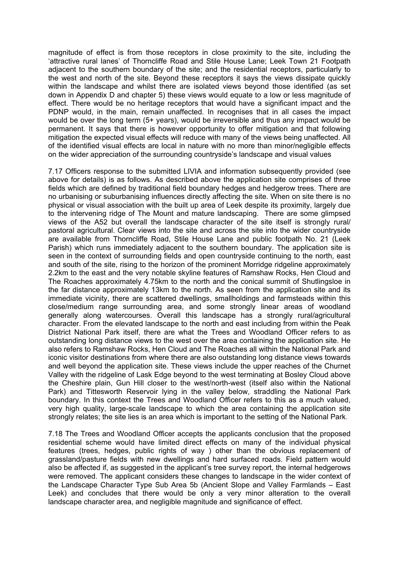magnitude of effect is from those receptors in close proximity to the site, including the 'attractive rural lanes' of Thorncliffe Road and Stile House Lane; Leek Town 21 Footpath adjacent to the southern boundary of the site; and the residential receptors, particularly to the west and north of the site. Beyond these receptors it says the views dissipate quickly within the landscape and whilst there are isolated views beyond those identified (as set down in Appendix D and chapter 5) these views would equate to a low or less magnitude of effect. There would be no heritage receptors that would have a significant impact and the PDNP would, in the main, remain unaffected. In recognises that in all cases the impact would be over the long term (5+ years), would be irreversible and thus any impact would be permanent. It says that there is however opportunity to offer mitigation and that following mitigation the expected visual effects will reduce with many of the views being unaffected. All of the identified visual effects are local in nature with no more than minor/negligible effects on the wider appreciation of the surrounding countryside's landscape and visual values

7.17 Officers response to the submitted LIVIA and information subsequently provided (see above for details) is as follows. As described above the application site comprises of three fields which are defined by traditional field boundary hedges and hedgerow trees. There are no urbanising or suburbanising influences directly affecting the site. When on site there is no physical or visual association with the built up area of Leek despite its proximity, largely due to the intervening ridge of The Mount and mature landscaping. There are some glimpsed views of the A52 but overall the landscape character of the site itself is strongly rural/ pastoral agricultural. Clear views into the site and across the site into the wider countryside are available from Thorncliffe Road, Stile House Lane and public footpath No. 21 (Leek Parish) which runs immediately adjacent to the southern boundary. The application site is seen in the context of surrounding fields and open countryside continuing to the north, east and south of the site, rising to the horizon of the prominent Morridge ridgeline approximately 2.2km to the east and the very notable skyline features of Ramshaw Rocks, Hen Cloud and The Roaches approximately 4.75km to the north and the conical summit of Shutlingsloe in the far distance approximately 13km to the north. As seen from the application site and its immediate vicinity, there are scattered dwellings, smallholdings and farmsteads within this close/medium range surrounding area, and some strongly linear areas of woodland generally along watercourses. Overall this landscape has a strongly rural/agricultural character. From the elevated landscape to the north and east including from within the Peak District National Park itself, there are what the Trees and Woodland Officer refers to as outstanding long distance views to the west over the area containing the application site. He also refers to Ramshaw Rocks, Hen Cloud and The Roaches all within the National Park and iconic visitor destinations from where there are also outstanding long distance views towards and well beyond the application site. These views include the upper reaches of the Churnet Valley with the ridgeline of Lask Edge beyond to the west terminating at Bosley Cloud above the Cheshire plain, Gun Hill closer to the west/north-west (itself also within the National Park) and Tittesworth Reservoir lying in the valley below, straddling the National Park boundary. In this context the Trees and Woodland Officer refers to this as a much valued, very high quality, large-scale landscape to which the area containing the application site strongly relates; the site lies is an area which is important to the setting of the National Park.

7.18 The Trees and Woodland Officer accepts the applicants conclusion that the proposed residential scheme would have limited direct effects on many of the individual physical features (trees, hedges, public rights of way ) other than the obvious replacement of grassland/pasture fields with new dwellings and hard surfaced roads. Field pattern would also be affected if, as suggested in the applicant's tree survey report, the internal hedgerows were removed. The applicant considers these changes to landscape in the wider context of the Landscape Character Type Sub Area 5b (Ancient Slope and Valley Farmlands – East Leek) and concludes that there would be only a very minor alteration to the overall landscape character area, and negligible magnitude and significance of effect.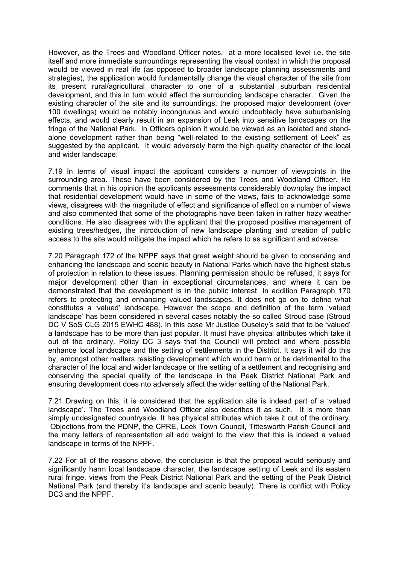However, as the Trees and Woodland Officer notes, at a more localised level i.e. the site itself and more immediate surroundings representing the visual context in which the proposal would be viewed in real life (as opposed to broader landscape planning assessments and strategies), the application would fundamentally change the visual character of the site from its present rural/agricultural character to one of a substantial suburban residential development, and this in turn would affect the surrounding landscape character. Given the existing character of the site and its surroundings, the proposed major development (over 100 dwellings) would be notably incongruous and would undoubtedly have suburbanising effects, and would clearly result in an expansion of Leek into sensitive landscapes on the fringe of the National Park. In Officers opinion it would be viewed as an isolated and standalone development rather than being "well-related to the existing settlement of Leek" as suggested by the applicant. It would adversely harm the high quality character of the local and wider landscape.

7.19 In terms of visual impact the applicant considers a number of viewpoints in the surrounding area. These have been considered by the Trees and Woodland Officer. He comments that in his opinion the applicants assessments considerably downplay the impact that residential development would have in some of the views, fails to acknowledge some views, disagrees with the magnitude of effect and significance of effect on a number of views and also commented that some of the photographs have been taken in rather hazy weather conditions. He also disagrees with the applicant that the proposed positive management of existing trees/hedges, the introduction of new landscape planting and creation of public access to the site would mitigate the impact which he refers to as significant and adverse.

7.20 Paragraph 172 of the NPPF says that great weight should be given to conserving and enhancing the landscape and scenic beauty in National Parks which have the highest status of protection in relation to these issues. Planning permission should be refused, it says for major development other than in exceptional circumstances, and where it can be demonstrated that the development is in the public interest. In addition Paragraph 170 refers to protecting and enhancing valued landscapes. It does not go on to define what constitutes a 'valued' landscape. However the scope and definition of the term 'valued landscape' has been considered in several cases notably the so called Stroud case (Stroud DC V SoS CLG 2015 EWHC 488). In this case Mr Justice Ouseley's said that to be 'valued' a landscape has to be more than just popular. It must have physical attributes which take it out of the ordinary. Policy DC 3 says that the Council will protect and where possible enhance local landscape and the setting of settlements in the District. It says it will do this by, amongst other matters resisting development which would harm or be detrimental to the character of the local and wider landscape or the setting of a settlement and recognising and conserving the special quality of the landscape in the Peak District National Park and ensuring development does nto adversely affect the wider setting of the National Park.

7.21 Drawing on this, it is considered that the application site is indeed part of a 'valued landscape'. The Trees and Woodland Officer also describes it as such. It is more than simply undesignated countryside. It has physical attributes which take it out of the ordinary. Objections from the PDNP, the CPRE, Leek Town Council, Tittesworth Parish Council and the many letters of representation all add weight to the view that this is indeed a valued landscape in terms of the NPPF.

7.22 For all of the reasons above, the conclusion is that the proposal would seriously and significantly harm local landscape character, the landscape setting of Leek and its eastern rural fringe, views from the Peak District National Park and the setting of the Peak District National Park (and thereby it's landscape and scenic beauty). There is conflict with Policy DC3 and the NPPF.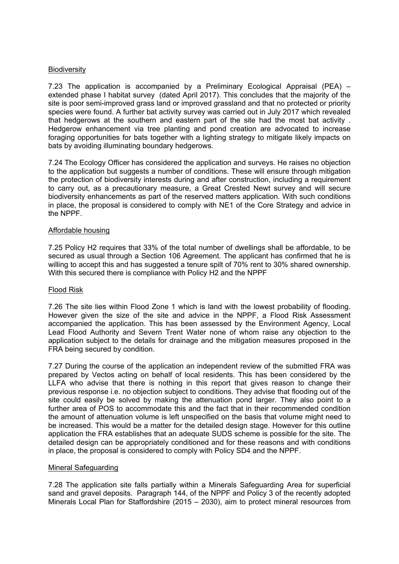### **Biodiversity**

7.23 The application is accompanied by a Preliminary Ecological Appraisal (PEA) – extended phase I habitat survey (dated April 2017). This concludes that the majority of the site is poor semi-improved grass land or improved grassland and that no protected or priority species were found. A further bat activity survey was carried out in July 2017 which revealed that hedgerows at the southern and eastern part of the site had the most bat activity . Hedgerow enhancement via tree planting and pond creation are advocated to increase foraging opportunities for bats together with a lighting strategy to mitigate likely impacts on bats by avoiding illuminating boundary hedgerows.

7.24 The Ecology Officer has considered the application and surveys. He raises no objection to the application but suggests a number of conditions. These will ensure through mitigation the protection of biodiversity interests during and after construction, including a requirement to carry out, as a precautionary measure, a Great Crested Newt survey and will secure biodiversity enhancements as part of the reserved matters application. With such conditions in place, the proposal is considered to comply with NE1 of the Core Strategy and advice in the NPPF.

### Affordable housing

7.25 Policy H2 requires that 33% of the total number of dwellings shall be affordable, to be secured as usual through a Section 106 Agreement. The applicant has confirmed that he is willing to accept this and has suggested a tenure spilt of 70% rent to 30% shared ownership. With this secured there is compliance with Policy H2 and the NPPF

### Flood Risk

7.26 The site lies within Flood Zone 1 which is land with the lowest probability of flooding. However given the size of the site and advice in the NPPF, a Flood Risk Assessment accompanied the application. This has been assessed by the Environment Agency, Local Lead Flood Authority and Severn Trent Water none of whom raise any objection to the application subject to the details for drainage and the mitigation measures proposed in the FRA being secured by condition.

7.27 During the course of the application an independent review of the submitted FRA was prepared by Vectos acting on behalf of local residents. This has been considered by the LLFA who advise that there is nothing in this report that gives reason to change their previous response i.e. no objection subject to conditions. They advise that flooding out of the site could easily be solved by making the attenuation pond larger. They also point to a further area of POS to accommodate this and the fact that in their recommended condition the amount of attenuation volume is left unspecified on the basis that volume might need to be increased. This would be a matter for the detailed design stage. However for this outline application the FRA establishes that an adequate SUDS scheme is possible for the site. The detailed design can be appropriately conditioned and for these reasons and with conditions in place, the proposal is considered to comply with Policy SD4 and the NPPF.

### Mineral Safeguarding

7.28 The application site falls partially within a Minerals Safeguarding Area for superficial sand and gravel deposits. Paragraph 144, of the NPPF and Policy 3 of the recently adopted Minerals Local Plan for Staffordshire (2015 – 2030), aim to protect mineral resources from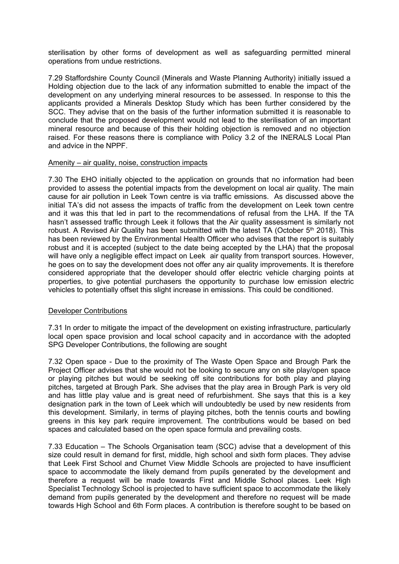sterilisation by other forms of development as well as safeguarding permitted mineral operations from undue restrictions.

7.29 Staffordshire County Council (Minerals and Waste Planning Authority) initially issued a Holding objection due to the lack of any information submitted to enable the impact of the development on any underlying mineral resources to be assessed. In response to this the applicants provided a Minerals Desktop Study which has been further considered by the SCC. They advise that on the basis of the further information submitted it is reasonable to conclude that the proposed development would not lead to the sterilisation of an important mineral resource and because of this their holding objection is removed and no objection raised. For these reasons there is compliance with Policy 3.2 of the INERALS Local Plan and advice in the NPPF.

### Amenity – air quality, noise, construction impacts

7.30 The EHO initially objected to the application on grounds that no information had been provided to assess the potential impacts from the development on local air quality. The main cause for air pollution in Leek Town centre is via traffic emissions. As discussed above the initial TA's did not assess the impacts of traffic from the development on Leek town centre and it was this that led in part to the recommendations of refusal from the LHA. If the TA hasn't assessed traffic through Leek it follows that the Air quality assessment is similarly not robust. A Revised Air Quality has been submitted with the latest TA (October 5<sup>th</sup> 2018). This has been reviewed by the Environmental Health Officer who advises that the report is suitably robust and it is accepted (subject to the date being accepted by the LHA) that the proposal will have only a negligible effect impact on Leek air quality from transport sources. However, he goes on to say the development does not offer any air quality improvements. It is therefore considered appropriate that the developer should offer electric vehicle charging points at properties, to give potential purchasers the opportunity to purchase low emission electric vehicles to potentially offset this slight increase in emissions. This could be conditioned.

## Developer Contributions

7.31 In order to mitigate the impact of the development on existing infrastructure, particularly local open space provision and local school capacity and in accordance with the adopted SPG Developer Contributions, the following are sought

7.32 Open space - Due to the proximity of The Waste Open Space and Brough Park the Project Officer advises that she would not be looking to secure any on site play/open space or playing pitches but would be seeking off site contributions for both play and playing pitches, targeted at Brough Park. She advises that the play area in Brough Park is very old and has little play value and is great need of refurbishment. She says that this is a key designation park in the town of Leek which will undoubtedly be used by new residents from this development. Similarly, in terms of playing pitches, both the tennis courts and bowling greens in this key park require improvement. The contributions would be based on bed spaces and calculated based on the open space formula and prevailing costs.

7.33 Education – The Schools Organisation team (SCC) advise that a development of this size could result in demand for first, middle, high school and sixth form places. They advise that Leek First School and Churnet View Middle Schools are projected to have insufficient space to accommodate the likely demand from pupils generated by the development and therefore a request will be made towards First and Middle School places. Leek High Specialist Technology School is projected to have sufficient space to accommodate the likely demand from pupils generated by the development and therefore no request will be made towards High School and 6th Form places. A contribution is therefore sought to be based on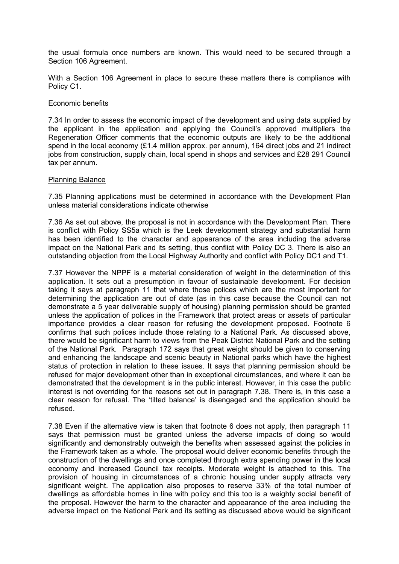the usual formula once numbers are known. This would need to be secured through a Section 106 Agreement.

With a Section 106 Agreement in place to secure these matters there is compliance with Policy C1.

#### Economic benefits

7.34 In order to assess the economic impact of the development and using data supplied by the applicant in the application and applying the Council's approved multipliers the Regeneration Officer comments that the economic outputs are likely to be the additional spend in the local economy (£1.4 million approx. per annum), 164 direct jobs and 21 indirect jobs from construction, supply chain, local spend in shops and services and £28 291 Council tax per annum.

#### Planning Balance

7.35 Planning applications must be determined in accordance with the Development Plan unless material considerations indicate otherwise

7.36 As set out above, the proposal is not in accordance with the Development Plan. There is conflict with Policy SS5a which is the Leek development strategy and substantial harm has been identified to the character and appearance of the area including the adverse impact on the National Park and its setting, thus conflict with Policy DC 3. There is also an outstanding objection from the Local Highway Authority and conflict with Policy DC1 and T1.

7.37 However the NPPF is a material consideration of weight in the determination of this application. It sets out a presumption in favour of sustainable development. For decision taking it says at paragraph 11 that where those polices which are the most important for determining the application are out of date (as in this case because the Council can not demonstrate a 5 year deliverable supply of housing) planning permission should be granted unless the application of polices in the Framework that protect areas or assets of particular importance provides a clear reason for refusing the development proposed. Footnote 6 confirms that such polices include those relating to a National Park. As discussed above, there would be significant harm to views from the Peak District National Park and the setting of the National Park. Paragraph 172 says that great weight should be given to conserving and enhancing the landscape and scenic beauty in National parks which have the highest status of protection in relation to these issues. It says that planning permission should be refused for major development other than in exceptional circumstances, and where it can be demonstrated that the development is in the public interest. However, in this case the public interest is not overriding for the reasons set out in paragraph 7.38. There is, in this case a clear reason for refusal. The 'tilted balance' is disengaged and the application should be refused.

7.38 Even if the alternative view is taken that footnote 6 does not apply, then paragraph 11 says that permission must be granted unless the adverse impacts of doing so would significantly and demonstrably outweigh the benefits when assessed against the policies in the Framework taken as a whole. The proposal would deliver economic benefits through the construction of the dwellings and once completed through extra spending power in the local economy and increased Council tax receipts. Moderate weight is attached to this. The provision of housing in circumstances of a chronic housing under supply attracts very significant weight. The application also proposes to reserve 33% of the total number of dwellings as affordable homes in line with policy and this too is a weighty social benefit of the proposal. However the harm to the character and appearance of the area including the adverse impact on the National Park and its setting as discussed above would be significant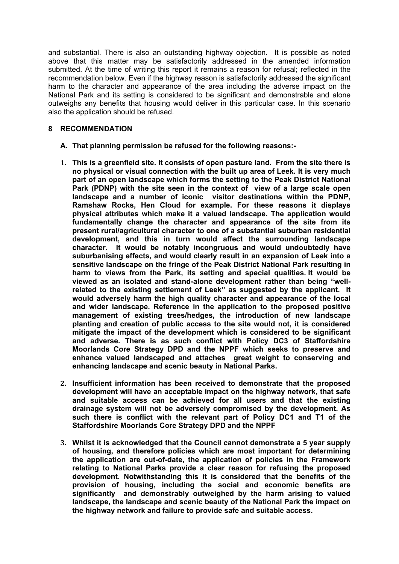and substantial. There is also an outstanding highway objection. It is possible as noted above that this matter may be satisfactorily addressed in the amended information submitted. At the time of writing this report it remains a reason for refusal; reflected in the recommendation below. Even if the highway reason is satisfactorily addressed the significant harm to the character and appearance of the area including the adverse impact on the National Park and its setting is considered to be significant and demonstrable and alone outweighs any benefits that housing would deliver in this particular case. In this scenario also the application should be refused.

## **8 RECOMMENDATION**

- **A. That planning permission be refused for the following reasons:-**
- **1. This is a greenfield site. It consists of open pasture land. From the site there is no physical or visual connection with the built up area of Leek. It is very much part of an open landscape which forms the setting to the Peak District National Park (PDNP) with the site seen in the context of view of a large scale open landscape and a number of iconic visitor destinations within the PDNP, Ramshaw Rocks, Hen Cloud for example. For these reasons it displays physical attributes which make it a valued landscape. The application would fundamentally change the character and appearance of the site from its present rural/agricultural character to one of a substantial suburban residential development, and this in turn would affect the surrounding landscape character. It would be notably incongruous and would undoubtedly have suburbanising effects, and would clearly result in an expansion of Leek into a sensitive landscape on the fringe of the Peak District National Park resulting in harm to views from the Park, its setting and special qualities. It would be viewed as an isolated and stand-alone development rather than being "wellrelated to the existing settlement of Leek" as suggested by the applicant. It would adversely harm the high quality character and appearance of the local and wider landscape. Reference in the application to the proposed positive management of existing trees/hedges, the introduction of new landscape planting and creation of public access to the site would not, it is considered mitigate the impact of the development which is considered to be significant and adverse. There is as such conflict with Policy DC3 of Staffordshire Moorlands Core Strategy DPD and the NPPF which seeks to preserve and enhance valued landscaped and attaches great weight to conserving and enhancing landscape and scenic beauty in National Parks.**
- **2. Insufficient information has been received to demonstrate that the proposed development will have an acceptable impact on the highway network, that safe and suitable access can be achieved for all users and that the existing drainage system will not be adversely compromised by the development. As such there is conflict with the relevant part of Policy DC1 and T1 of the Staffordshire Moorlands Core Strategy DPD and the NPPF**
- **3. Whilst it is acknowledged that the Council cannot demonstrate a 5 year supply of housing, and therefore policies which are most important for determining the application are out-of-date, the application of policies in the Framework relating to National Parks provide a clear reason for refusing the proposed development. Notwithstanding this it is considered that the benefits of the provision of housing, including the social and economic benefits are significantly and demonstrably outweighed by the harm arising to valued landscape, the landscape and scenic beauty of the National Park the impact on the highway network and failure to provide safe and suitable access.**